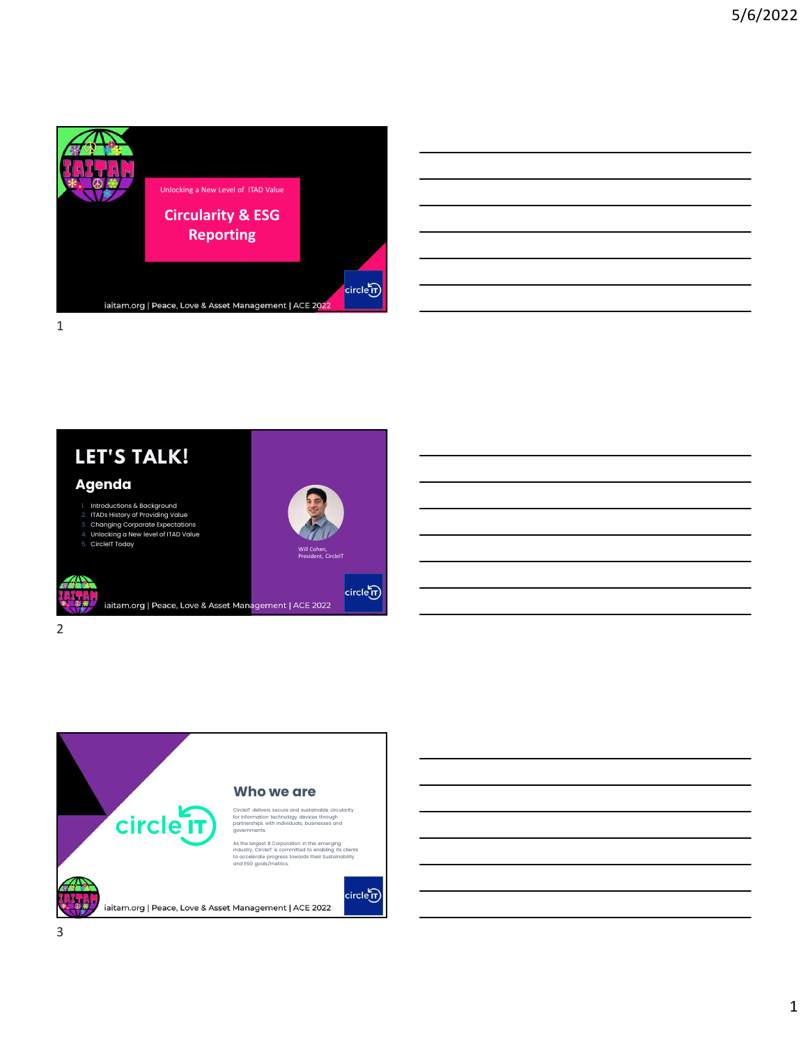







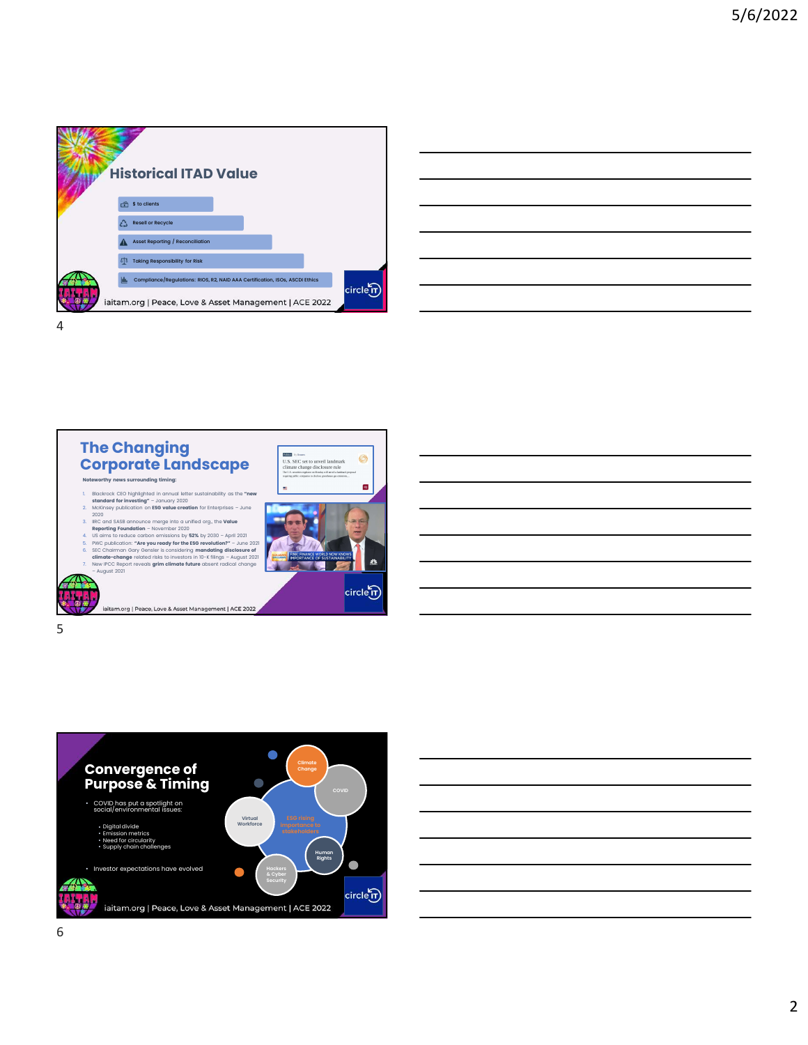

| ,我们也不会有什么。""我们的人,我们也不会有什么?""我们的人,我们也不会有什么?""我们的人,我们也不会有什么?""我们的人,我们也不会有什么?""我们的人 |  |  |
|----------------------------------------------------------------------------------|--|--|
| <u> 1989 - Andrea Andrew Maria (h. 1989).</u>                                    |  |  |
| <u> 1989 - Andrea Andrew Maria (h. 1989).</u>                                    |  |  |
| <u> 1989 - Johann Stoff, amerikansk politiker (d. 1989)</u>                      |  |  |
| <u> 1989 - Andrea Andrew Maria (h. 1989).</u>                                    |  |  |
| <u> 1989 - Johann Barn, amerikansk politiker (d. 1989)</u>                       |  |  |
|                                                                                  |  |  |







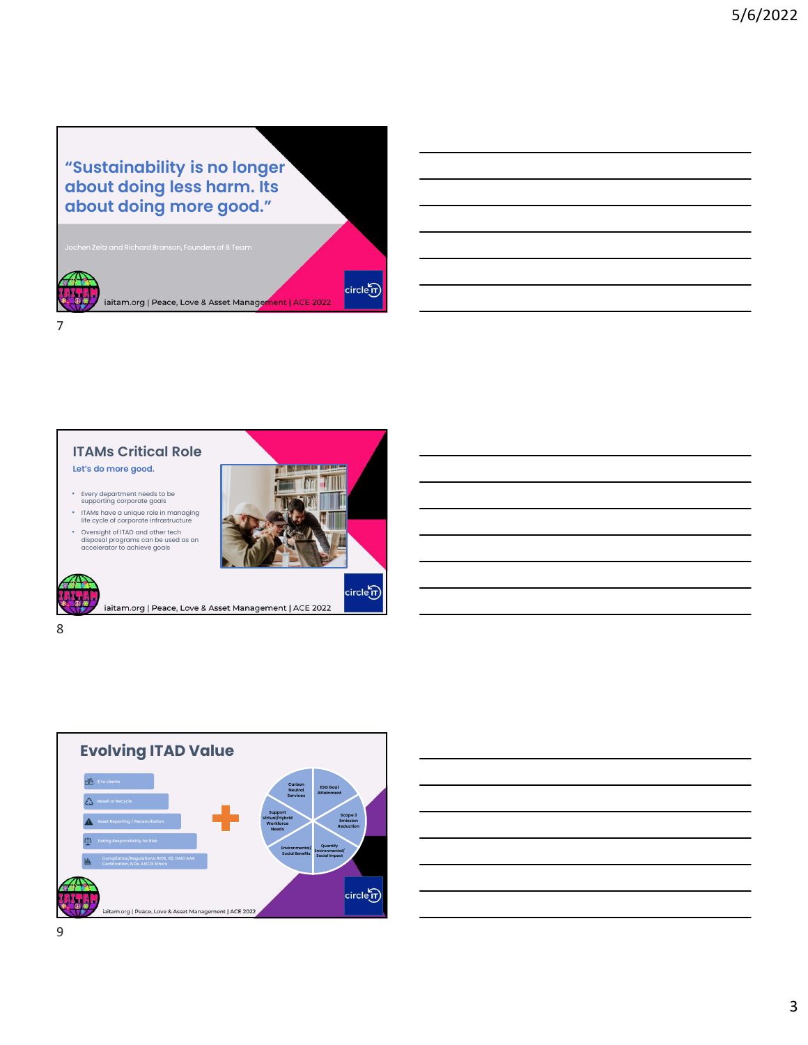"Sustainability is no longer about doing less harm. Its about doing more good." Jochen Zeitz and Richard Branson, Founders of B Team  $circ$ letr iaitam.org | Peace, Love & Asset Management | ACE 2022 7





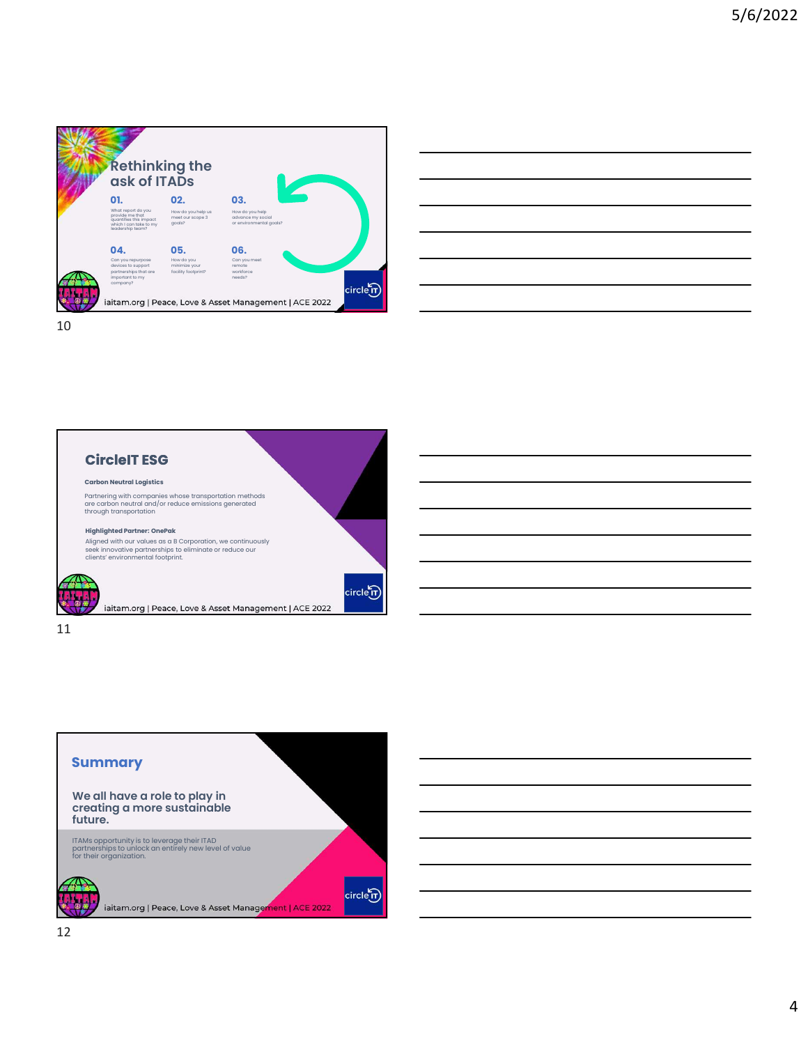

| $\overline{\phantom{a}}$                                                                                                                                                                                                             |  | $\overline{\phantom{a}}$ |
|--------------------------------------------------------------------------------------------------------------------------------------------------------------------------------------------------------------------------------------|--|--------------------------|
|                                                                                                                                                                                                                                      |  |                          |
| $\overline{\phantom{a}}$                                                                                                                                                                                                             |  |                          |
|                                                                                                                                                                                                                                      |  |                          |
|                                                                                                                                                                                                                                      |  |                          |
|                                                                                                                                                                                                                                      |  |                          |
|                                                                                                                                                                                                                                      |  |                          |
|                                                                                                                                                                                                                                      |  |                          |
| <u> Andreas Andreas Andreas Andreas Andreas Andreas Andreas Andreas Andreas Andreas Andreas Andreas Andreas Andreas Andreas Andreas Andreas Andreas Andreas Andreas Andreas Andreas Andreas Andreas Andreas Andreas Andreas Andr</u> |  |                          |
|                                                                                                                                                                                                                                      |  |                          |
|                                                                                                                                                                                                                                      |  |                          |
|                                                                                                                                                                                                                                      |  |                          |
|                                                                                                                                                                                                                                      |  |                          |

10